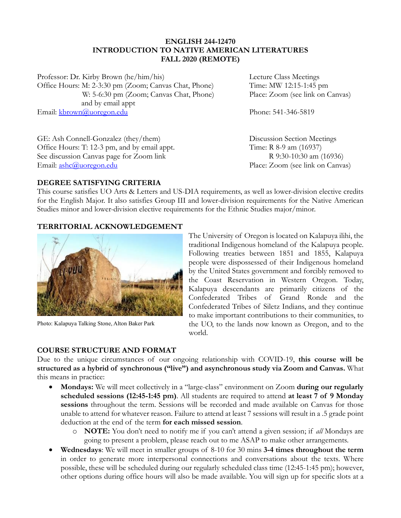# **ENGLISH 244-12470 INTRODUCTION TO NATIVE AMERICAN LITERATURES FALL 2020 (REMOTE)**

Professor: Dr. Kirby Brown (he/him/his) Lecture Class Meetings Office Hours: M: 2-3:30 pm (Zoom; Canvas Chat, Phone) Time: MW 12:15-1:45 pm W: 5-6:30 pm (Zoom; Canvas Chat, Phone) Place: Zoom (see link on Canvas) and by email appt Email: [kbrown@uoregon.edu](mailto:kbrown@uoregon.edu) Phone: 541-346-5819

GE: Ash Connell-Gonzalez (they/them) Discussion Section Meetings Office Hours: T: 12-3 pm, and by email appt. Time: R 8-9 am (16937) See discussion Canvas page for Zoom link R 9:30-10:30 am (16936) Email: <u>[ashc@uoregon.edu](mailto:ashc@uoregon.edu)</u> Place: Zoom (see link on Canvas)

# **DEGREE SATISFYING CRITERIA**

This course satisfies UO Arts & Letters and US-DIA requirements, as well as lower-division elective credits for the English Major. It also satisfies Group III and lower-division requirements for the Native American Studies minor and lower-division elective requirements for the Ethnic Studies major/minor.

# **TERRITORIAL ACKNOWLEDGEMENT**



Photo: Kalapuya Talking Stone, Alton Baker Park

**COURSE STRUCTURE AND FORMAT**

The University of Oregon is located on Kalapuya ilihi, the traditional Indigenous homeland of the Kalapuya people. Following treaties between 1851 and 1855, Kalapuya people were dispossessed of their Indigenous homeland by the United States government and forcibly removed to the Coast Reservation in Western Oregon. Today, Kalapuya descendants are primarily citizens of the Confederated Tribes of Grand Ronde and the Confederated Tribes of Siletz Indians, and they continue to make important contributions to their communities, to the UO, to the lands now known as Oregon, and to the world.

Due to the unique circumstances of our ongoing relationship with COVID-19, **this course will be structured as a hybrid of synchronous ("live") and asynchronous study via Zoom and Canvas.** What this means in practice:

- **Mondays:** We will meet collectively in a "large-class" environment on Zoom **during our regularly scheduled sessions (12:45-1:45 pm)**. All students are required to attend **at least 7 of 9 Monday sessions** throughout the term. Sessions will be recorded and made available on Canvas for those unable to attend for whatever reason. Failure to attend at least 7 sessions will result in a .5 grade point deduction at the end of the term **for each missed session**.
	- o **NOTE:** You don't need to notify me if you can't attend a given session; if *all* Mondays are going to present a problem, please reach out to me ASAP to make other arrangements.
- **Wednesdays**: We will meet in smaller groups of 8-10 for 30 mins **3-4 times throughout the term** in order to generate more interpersonal connections and conversations about the texts. Where possible, these will be scheduled during our regularly scheduled class time (12:45-1:45 pm); however, other options during office hours will also be made available. You will sign up for specific slots at a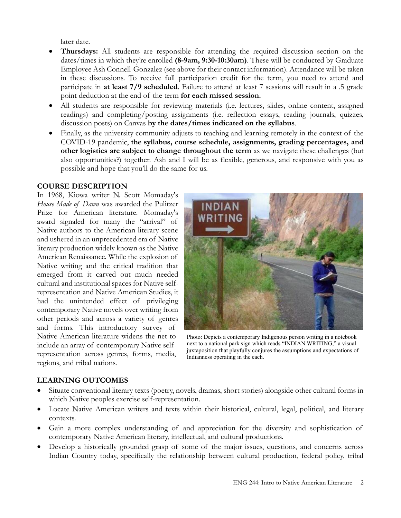later date.

- **Thursdays:** All students are responsible for attending the required discussion section on the dates/times in which they're enrolled **(8-9am, 9:30-10:30am)**. These will be conducted by Graduate Employee Ash Connell-Gonzalez (see above for their contact information). Attendance will be taken in these discussions. To receive full participation credit for the term, you need to attend and participate in **at least 7/9 scheduled**. Failure to attend at least 7 sessions will result in a .5 grade point deduction at the end of the term **for each missed session.**
- All students are responsible for reviewing materials (i.e. lectures, slides, online content, assigned readings) and completing/posting assignments (i.e. reflection essays, reading journals, quizzes, discussion posts) on Canvas **by the dates/times indicated on the syllabus**.
- Finally, as the university community adjusts to teaching and learning remotely in the context of the COVID-19 pandemic, **the syllabus, course schedule, assignments, grading percentages, and other logistics are subject to change throughout the term** as we navigate these challenges (but also opportunities?) together. Ash and I will be as flexible, generous, and responsive with you as possible and hope that you'll do the same for us.

## **COURSE DESCRIPTION**

In 1968, Kiowa writer N. Scott Momaday's *House Made of Dawn* was awarded the Pulitzer Prize for American literature. Momaday's award signaled for many the "arrival" of Native authors to the American literary scene and ushered in an unprecedented era of Native literary production widely known as the Native American Renaissance. While the explosion of Native writing and the critical tradition that emerged from it carved out much needed cultural and institutional spaces for Native selfrepresentation and Native American Studies, it had the unintended effect of privileging contemporary Native novels over writing from other periods and across a variety of genres and forms. This introductory survey of Native American literature widens the net to include an array of contemporary Native selfrepresentation across genres, forms, media, regions, and tribal nations.



Photo: Depicts a contemporary Indigenous person writing in a notebook next to a national park sign which reads "INDIAN WRITING," a visual juxtaposition that playfully conjures the assumptions and expectations of Indianness operating in the each.

# **LEARNING OUTCOMES**

- Situate conventional literary texts (poetry, novels, dramas, short stories) alongside other cultural forms in which Native peoples exercise self-representation.
- Locate Native American writers and texts within their historical, cultural, legal, political, and literary contexts.
- Gain a more complex understanding of and appreciation for the diversity and sophistication of contemporary Native American literary, intellectual, and cultural productions.
- Develop a historically grounded grasp of some of the major issues, questions, and concerns across Indian Country today, specifically the relationship between cultural production, federal policy, tribal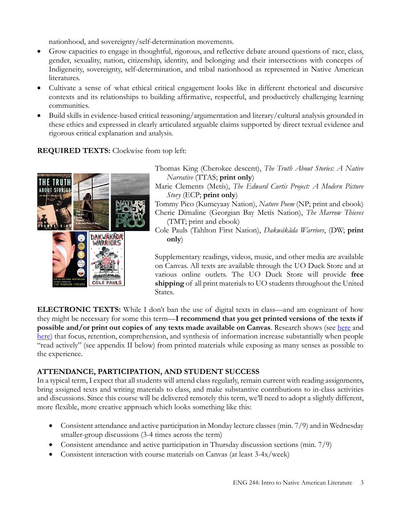nationhood, and sovereignty/self-determination movements.

- Grow capacities to engage in thoughtful, rigorous, and reflective debate around questions of race, class, gender, sexuality, nation, citizenship, identity, and belonging and their intersections with concepts of Indigeneity, sovereignty, self-determination, and tribal nationhood as represented in Native American literatures.
- Cultivate a sense of what ethical critical engagement looks like in different rhetorical and discursive contexts and its relationships to building affirmative, respectful, and productively challenging learning communities.
- Build skills in evidence-based critical reasoning/argumentation and literary/cultural analysis grounded in these ethics and expressed in clearly articulated arguable claims supported by direct textual evidence and rigorous critical explanation and analysis.

**REQUIRED TEXTS:** Clockwise from top left:



Thomas King (Cherokee descent), *The Truth About Stories: A Native Narrative* (TTAS; **print only**)

Marie Clements (Metís), *The Edward Curtis Project: A Modern Picture Story* (ECP; **print only**)

Tommy Pico (Kumeyaay Nation), *Nature Poem* (NP; print and ebook) Cherie Dimaline (Georgian Bay Metís Nation), *The Marrow Thieves* (TMT; print and ebook)

Cole Pauls (Tahlton First Nation), *Dakwäkãda Warriors*, (DW; **print only**)

Supplementary readings, videos, music, and other media are available on Canvas. All texts are available through the UO Duck Store and at various online outlets. The UO Duck Store will provide **free shipping** of all print materials to UO students throughout the United States.

**ELECTRONIC TEXTS:** While I don't ban the use of digital texts in class—and am cognizant of how they might be necessary for some this term—**I recommend that you get printed versions of the texts if possible and/or print out copies of any texts made available on Canvas**. Research shows (see [here](https://newrepublic.com/article/135326/digital-reading-no-substitute-print) and [here\)](https://psmag.com/social-justice/books-home-strongly-linked-academic-achievement-82144) that focus, retention, comprehension, and synthesis of information increase substantially when people "read actively" (see appendix II below) from printed materials while exposing as many senses as possible to the experience.

# **ATTENDANCE, PARTICIPATION, AND STUDENT SUCCESS**

In a typical term, I expect that all students will attend class regularly, remain current with reading assignments, bring assigned texts and writing materials to class, and make substantive contributions to in-class activities and discussions. Since this course will be delivered remotely this term, we'll need to adopt a slightly different, more flexible, more creative approach which looks something like this:

- Consistent attendance and active participation in Monday lecture classes (min. 7/9) and in Wednesday smaller-group discussions (3-4 times across the term)
- Consistent attendance and active participation in Thursday discussion sections (min. 7/9)
- Consistent interaction with course materials on Canvas (at least 3-4x/week)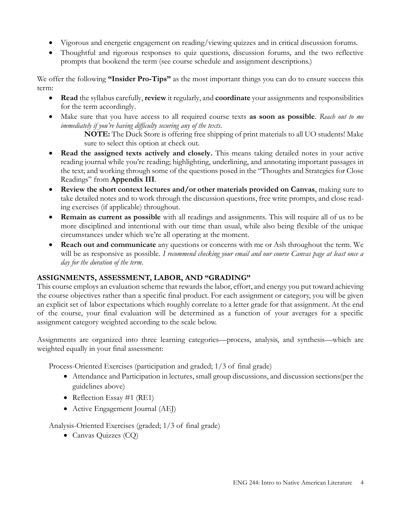- Vigorous and energetic engagement on reading/viewing quizzes and in critical discussion forums.
- Thoughtful and rigorous responses to quiz questions, discussion forums, and the two reflective prompts that bookend the term (see course schedule and assignment descriptions.)

We offer the following **"Insider Pro-Tips"** as the most important things you can do to ensure success this term:

- **Read** the syllabus carefully, **review** it regularly, and **coordinate** your assignments and responsibilities for the term accordingly.
- Make sure that you have access to all required course texts **as soon as possible**. *Reach out to me immediately if you're having difficulty securing any of the texts*.

**NOTE:** The Duck Store is offering free shipping of print materials to all UO students! Make sure to select this option at check out.

- **Read the assigned texts actively and closely.** This means taking detailed notes in your active reading journal while you're reading; highlighting, underlining, and annotating important passages in the text; and working through some of the questions posed in the "Thoughts and Strategies for Close Readings" from **Appendix III**.
- **Review the short context lectures and/or other materials provided on Canvas**, making sure to take detailed notes and to work through the discussion questions, free write prompts, and close reading exercises (if applicable) throughout.
- **Remain as current as possible** with all readings and assignments. This will require all of us to be more disciplined and intentional with our time than usual, while also being flexible of the unique circumstances under which we're all operating at the moment.
- **Reach out and communicate** any questions or concerns with me or Ash throughout the term. We will be as responsive as possible. *I recommend checking your email and our course Canvas page at least once a day for the duration of the term*.

# **ASSIGNMENTS, ASSESSMENT, LABOR, AND "GRADING"**

This course employs an evaluation scheme that rewards the labor, effort, and energy you put toward achieving the course objectives rather than a specific final product. For each assignment or category, you will be given an explicit set of labor expectations which roughly correlate to a letter grade for that assignment. At the end of the course, your final evaluation will be determined as a function of your averages for a specific assignment category weighted according to the scale below.

Assignments are organized into three learning categories—process, analysis, and synthesis—which are weighted equally in your final assessment:

Process-Oriented Exercises (participation and graded; 1/3 of final grade)

- Attendance and Participation in lectures, small group discussions, and discussion sections(per the guidelines above)
- Reflection Essay #1 (RE1)
- Active Engagement Journal (AEJ)

Analysis-Oriented Exercises (graded; 1/3 of final grade)

• Canvas Quizzes (CQ)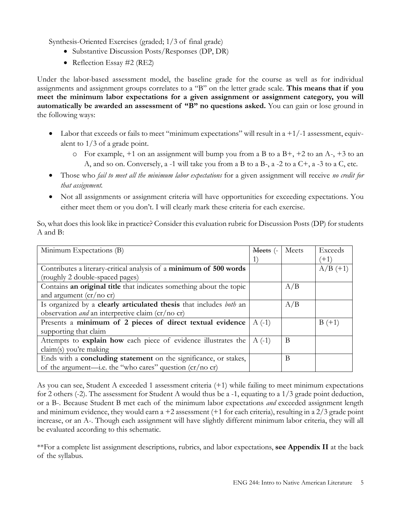Synthesis-Oriented Exercises (graded; 1/3 of final grade)

- Substantive Discussion Posts/Responses (DP, DR)
- Reflection Essay #2 (RE2)

Under the labor-based assessment model, the baseline grade for the course as well as for individual assignments and assignment groups correlates to a "B" on the letter grade scale. **This means that if you meet the minimum labor expectations for a given assignment or assignment category, you will automatically be awarded an assessment of "B" no questions asked.** You can gain or lose ground in the following ways:

- Labor that exceeds or fails to meet "minimum expectations" will result in a  $+1/-1$  assessment, equivalent to 1/3 of a grade point.
	- $\circ$  For example, +1 on an assignment will bump you from a B to a B+, +2 to an A-, +3 to an A, and so on. Conversely, a -1 will take you from a B to a B-, a -2 to a C+, a -3 to a C, etc.
- Those who *fail to meet all the minimum labor expectations* for a given assignment will receive *no credit for that assignment.*
- Not all assignments or assignment criteria will have opportunities for exceeding expectations. You either meet them or you don't. I will clearly mark these criteria for each exercise.

So, what does this look like in practice? Consider this evaluation rubric for Discussion Posts (DP) for students A and B:

| Minimum Expectations (B)                                                              | Meets (- | Meets | Exceeds    |
|---------------------------------------------------------------------------------------|----------|-------|------------|
|                                                                                       |          |       | $(+1)$     |
| Contributes a literary-critical analysis of a minimum of 500 words                    |          |       | $A/B (+1)$ |
| (roughly 2 double-spaced pages)                                                       |          |       |            |
| Contains an original title that indicates something about the topic                   |          | A/B   |            |
| and argument $\left(\frac{cr}{no}\right)$ cr)                                         |          |       |            |
| Is organized by a <b>clearly articulated thesis</b> that includes <i>both</i> an      |          | A/B   |            |
| observation <i>and</i> an interpretive claim $\left(\frac{cr}{\text{no cr}}\right)$   |          |       |            |
| Presents a minimum of 2 pieces of direct textual evidence                             | $A(-1)$  |       | $B (+1)$   |
| supporting that claim                                                                 |          |       |            |
| Attempts to <b>explain how</b> each piece of evidence illustrates the                 | $A(-1)$  | B     |            |
| claim(s) you're making                                                                |          |       |            |
| Ends with a <b>concluding statement</b> on the significance, or stakes,               |          | B     |            |
| of the argument—i.e. the "who cares" question $\left(\frac{cr}{\sqrt{10}}\right)$ cr) |          |       |            |

As you can see, Student A exceeded 1 assessment criteria (+1) while failing to meet minimum expectations for 2 others (-2). The assessment for Student A would thus be a -1, equating to a 1/3 grade point deduction, or a B-. Because Student B met each of the minimum labor expectations *and* exceeded assignment length and minimum evidence, they would earn  $a + 2$  assessment (+1 for each criteria), resulting in a  $2/3$  grade point increase, or an A-. Though each assignment will have slightly different minimum labor criteria, they will all be evaluated according to this schematic.

\*\*For a complete list assignment descriptions, rubrics, and labor expectations, **see Appendix II** at the back of the syllabus.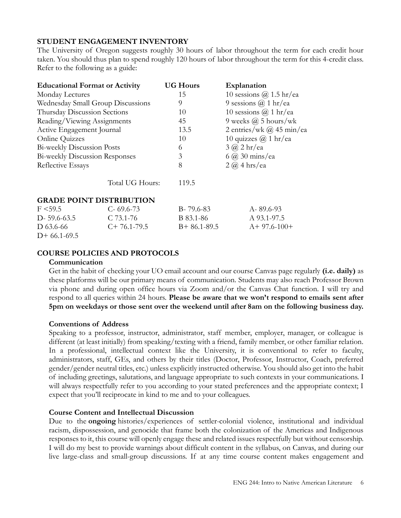# **STUDENT ENGAGEMENT INVENTORY**

The University of Oregon suggests roughly 30 hours of labor throughout the term for each credit hour taken. You should thus plan to spend roughly 120 hours of labor throughout the term for this 4-credit class. Refer to the following as a guide:

| <b>Educational Format or Activity</b> |                                                                   | <b>UG Hours</b> | Explanation                  |  |  |  |
|---------------------------------------|-------------------------------------------------------------------|-----------------|------------------------------|--|--|--|
| Monday Lectures                       |                                                                   | 15              | 10 sessions $@$ 1.5 hr/ea    |  |  |  |
|                                       | Wednesday Small Group Discussions                                 | 9               | 9 sessions $\omega$ 1 hr/ea  |  |  |  |
| Thursday Discussion Sections          |                                                                   | 10              | 10 sessions $\omega$ 1 hr/ea |  |  |  |
| Reading/Viewing Assignments           |                                                                   | 45              | 9 weeks $\omega$ 5 hours/wk  |  |  |  |
|                                       | 2 entries/wk $(a)$ 45 min/ea<br>Active Engagement Journal<br>13.5 |                 |                              |  |  |  |
| Online Quizzes                        |                                                                   | 10              | 10 quizzes $\omega$ 1 hr/ea  |  |  |  |
| <b>Bi-weekly Discussion Posts</b>     |                                                                   | 6               | $3$ $\omega$ 2 hr/ea         |  |  |  |
| <b>Bi-weekly Discussion Responses</b> |                                                                   | 3               | $6$ $\omega$ 30 mins/ea      |  |  |  |
| Reflective Essays                     |                                                                   | 8               | $2 \omega$ 4 hrs/ea          |  |  |  |
|                                       | Total UG Hours:                                                   | 119.5           |                              |  |  |  |
|                                       | <b>GRADE POINT DISTRIBUTION</b>                                   |                 |                              |  |  |  |
| F < 59.5                              | $C - 69.6 - 73$                                                   | B-79.6-83       | $A - 89.6 - 93$              |  |  |  |
| $D - 59.6 - 63.5$                     | $C$ 73.1-76                                                       | B 83.1-86       | A 93.1-97.5                  |  |  |  |
| D 63.6-66                             | $C+76.1-79.5$                                                     | $B+86.1-89.5$   | $A+97.6-100+$                |  |  |  |

# **COURSE POLICIES AND PROTOCOLS**

#### **Communication**

 $D+66.1-69.5$ 

Get in the habit of checking your UO email account and our course Canvas page regularly **(i.e. daily)** as these platforms will be our primary means of communication. Students may also reach Professor Brown via phone and during open office hours via Zoom and/or the Canvas Chat function. I will try and respond to all queries within 24 hours. **Please be aware that we won't respond to emails sent after 5pm on weekdays or those sent over the weekend until after 8am on the following business day.**

# **Conventions of Address**

Speaking to a professor, instructor, administrator, staff member, employer, manager, or colleague is different (at least initially) from speaking/texting with a friend, family member, or other familiar relation. In a professional, intellectual context like the University, it is conventional to refer to faculty, administrators, staff, GEs, and others by their titles (Doctor, Professor, Instructor, Coach, preferred gender/gender neutral titles, etc.) unless explicitly instructed otherwise. You should also get into the habit of including greetings, salutations, and language appropriate to such contexts in your communications. I will always respectfully refer to you according to your stated preferences and the appropriate context; I expect that you'll reciprocate in kind to me and to your colleagues.

#### **Course Content and Intellectual Discussion**

Due to the **ongoing** histories/experiences of settler-colonial violence, institutional and individual racism, dispossession, and genocide that frame both the colonization of the Americas and Indigenous responses to it, this course will openly engage these and related issues respectfully but without censorship. I will do my best to provide warnings about difficult content in the syllabus, on Canvas, and during our live large-class and small-group discussions. If at any time course content makes engagement and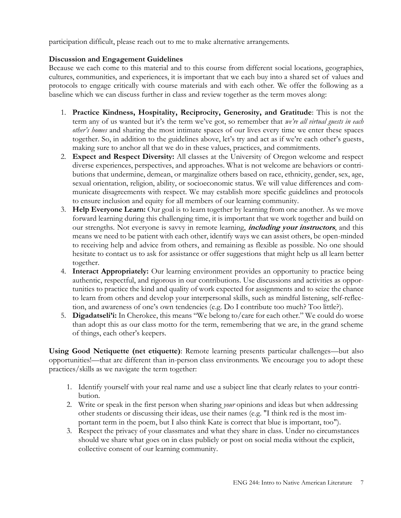participation difficult, please reach out to me to make alternative arrangements.

# **Discussion and Engagement Guidelines**

Because we each come to this material and to this course from different social locations, geographies, cultures, communities, and experiences, it is important that we each buy into a shared set of values and protocols to engage critically with course materials and with each other. We offer the following as a baseline which we can discuss further in class and review together as the term moves along:

- 1. **Practice Kindness, Hospitality, Reciprocity, Generosity, and Gratitude**: This is not the term any of us wanted but it's the term we've got, so remember that *we're all virtual guests in each other's homes* and sharing the most intimate spaces of our lives every time we enter these spaces together. So, in addition to the guidelines above, let's try and act as if we're each other's guests, making sure to anchor all that we do in these values, practices, and commitments.
- 2. **Expect and Respect Diversity:** All classes at the University of Oregon welcome and respect diverse experiences, perspectives, and approaches. What is not welcome are behaviors or contributions that undermine, demean, or marginalize others based on race, ethnicity, gender, sex, age, sexual orientation, religion, ability, or socioeconomic status. We will value differences and communicate disagreements with respect. We may establish more specific guidelines and protocols to ensure inclusion and equity for all members of our learning community.
- 3. **Help Everyone Learn:** Our goal is to learn together by learning from one another. As we move forward learning during this challenging time, it is important that we work together and build on our strengths. Not everyone is savvy in remote learning, **including your instructors**, and this means we need to be patient with each other, identify ways we can assist others, be open-minded to receiving help and advice from others, and remaining as flexible as possible. No one should hesitate to contact us to ask for assistance or offer suggestions that might help us all learn better together.
- 4. **Interact Appropriately:** Our learning environment provides an opportunity to practice being authentic, respectful, and rigorous in our contributions. Use discussions and activities as opportunities to practice the kind and quality of work expected for assignments and to seize the chance to learn from others and develop your interpersonal skills, such as mindful listening, self-reflection, and awareness of one's own tendencies (e.g. Do I contribute too much? Too little?).
- 5. **Digadatseli'i:** In Cherokee, this means "We belong to/care for each other." We could do worse than adopt this as our class motto for the term, remembering that we are, in the grand scheme of things, each other's keepers.

**Using Good Netiquette (net etiquette)**: Remote learning presents particular challenges—but also opportunities!—that are different than in-person class environments. We encourage you to adopt these practices/skills as we navigate the term together:

- 1. Identify yourself with your real name and use a subject line that clearly relates to your contribution.
- 2. Write or speak in the first person when sharing *your* opinions and ideas but when addressing other students or discussing their ideas, use their names (e.g. "I think red is the most important term in the poem, but I also think Kate is correct that blue is important, too").
- 3. Respect the privacy of your classmates and what they share in class. Under no circumstances should we share what goes on in class publicly or post on social media without the explicit, collective consent of our learning community.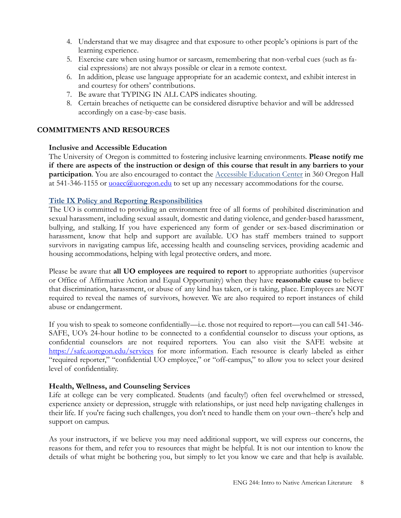- 4. Understand that we may disagree and that exposure to other people's opinions is part of the learning experience.
- 5. Exercise care when using humor or sarcasm, remembering that non-verbal cues (such as facial expressions) are not always possible or clear in a remote context.
- 6. In addition, please use language appropriate for an academic context, and exhibit interest in and courtesy for others' contributions.
- 7. Be aware that TYPING IN ALL CAPS indicates shouting.
- 8. Certain breaches of netiquette can be considered disruptive behavior and will be addressed accordingly on a case-by-case basis.

# **COMMITMENTS AND RESOURCES**

# **Inclusive and Accessible Education**

The University of Oregon is committed to fostering inclusive learning environments. **Please notify me if there are aspects of the instruction or design of this course that result in any barriers to your participation**. You are also encouraged to contact the [Accessible Education Center](http://aec.uoregon.edu/) in 360 Oregon Hall at 541-346-1155 or  $\frac{u}{\alpha}$  uoregon.edu to set up any necessary accommodations for the course.

# **[Title IX Policy and Reporting Responsibilities](https://investigations.uoregon.edu/title-ix)**

The UO is committed to providing an environment free of all forms of prohibited discrimination and sexual harassment, including sexual assault, domestic and dating violence, and gender-based harassment, bullying, and stalking. If you have experienced any form of gender or sex-based discrimination or harassment, know that help and support are available. UO has staff members trained to support survivors in navigating campus life, accessing health and counseling services, providing academic and housing accommodations, helping with legal protective orders, and more.

Please be aware that **all UO employees are required to report** to appropriate authorities (supervisor or Office of Affirmative Action and Equal Opportunity) when they have **reasonable cause** to believe that discrimination, harassment, or abuse of any kind has taken, or is taking, place. Employees are NOT required to reveal the names of survivors, however. We are also required to report instances of child abuse or endangerment.

If you wish to speak to someone confidentially—i.e. those not required to report—you can call 541-346- SAFE, UO's 24-hour hotline to be connected to a confidential counselor to discuss your options, as confidential counselors are not required reporters. You can also visit the SAFE website at <https://safe.uoregon.edu/services> for more information. Each resource is clearly labeled as either "required reporter," "confidential UO employee," or "off-campus," to allow you to select your desired level of confidentiality.

# **Health, Wellness, and Counseling Services**

Life at college can be very complicated. Students (and faculty!) often feel overwhelmed or stressed, experience anxiety or depression, struggle with relationships, or just need help navigating challenges in their life. If you're facing such challenges, you don't need to handle them on your own--there's help and support on campus.

As your instructors, if we believe you may need additional support, we will express our concerns, the reasons for them, and refer you to resources that might be helpful. It is not our intention to know the details of what might be bothering you, but simply to let you know we care and that help is available.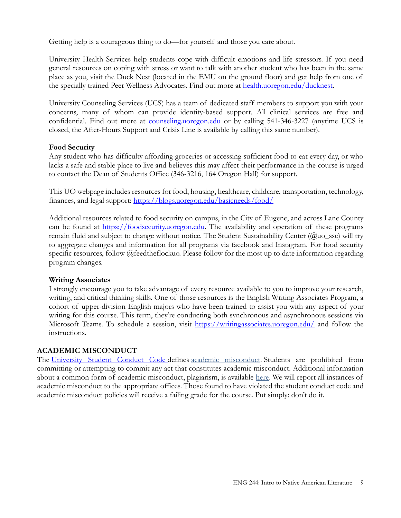Getting help is a courageous thing to do—for yourself and those you care about.

University Health Services help students cope with difficult emotions and life stressors. If you need general resources on coping with stress or want to talk with another student who has been in the same place as you, visit the Duck Nest (located in the EMU on the ground floor) and get help from one of the specially trained Peer Wellness Advocates. Find out more at [health.uoregon.edu/ducknest.](file:///C:/Users/Kirby%20Brown/Google%20Drive/School%20Stuff/E244%20_IntroNativeLit/Spring%202020%20(online)/health.uoregon.edu/ducknest)

University Counseling Services (UCS) has a team of dedicated staff members to support you with your concerns, many of whom can provide identity-based support. All clinical services are free and confidential. Find out more at [counseling.uoregon.edu](file:///C:/Users/Kirby%20Brown/Google%20Drive/School%20Stuff/E244%20_IntroNativeLit/Spring%202020%20(online)/counseling.uoregon.edu) or by calling 541-346-3227 (anytime UCS is closed, the After-Hours Support and Crisis Line is available by calling this same number).

# **Food Security**

Any student who has difficulty affording groceries or accessing sufficient food to eat every day, or who lacks a safe and stable place to live and believes this may affect their performance in the course is urged to contact the Dean of Students Office (346-3216, 164 Oregon Hall) for support.

This UO webpage includes resources for food, housing, healthcare, childcare, transportation, technology, finances, and legal support:<https://blogs.uoregon.edu/basicneeds/food/>

Additional resources related to food security on campus, in the City of Eugene, and across Lane County can be found at [https://foodsecurity.uoregon.edu.](https://foodsecurity.uoregon.edu/) The availability and operation of these programs remain fluid and subject to change without notice. The Student Sustainability Center (@uo\_ssc) will try to aggregate changes and information for all programs via facebook and Instagram. For food security specific resources, follow @feedtheflockuo. Please follow for the most up to date information regarding program changes.

# **Writing Associates**

I strongly encourage you to take advantage of every resource available to you to improve your research, writing, and critical thinking skills. One of those resources is the English Writing Associates Program, a cohort of upper-division English majors who have been trained to assist you with any aspect of your writing for this course. This term, they're conducting both synchronous and asynchronous sessions via Microsoft Teams. To schedule a session, visit<https://writingassociates.uoregon.edu/> and follow the instructions.

# **ACADEMIC MISCONDUCT**

The [University Student Conduct Code](https://policies.uoregon.edu/vol-3-administration-student-affairs/ch-1-conduct/student-conduct-code) defines [academic misconduct.](https://dos.uoregon.edu/academic-misconduct) Students are prohibited from committing or attempting to commit any act that constitutes academic misconduct. Additional information about a common form of academic misconduct, plagiarism, is available [here.](http://library.uoregon.edu/guides/plagiarism/students/index.html) We will report all instances of academic misconduct to the appropriate offices. Those found to have violated the student conduct code and academic misconduct policies will receive a failing grade for the course. Put simply: don't do it.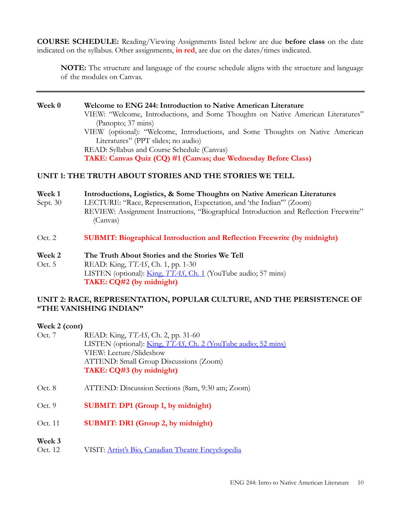**COURSE SCHEDULE:** Reading/Viewing Assignments listed below are due **before class** on the date indicated on the syllabus. Other assignments, **in red**, are due on the dates/times indicated.

**NOTE:** The structure and language of the course schedule aligns with the structure and language of the modules on Canvas.

**Week 0 Welcome to ENG 244: Introduction to Native American Literature** VIEW: "Welcome, Introductions, and Some Thoughts on Native American Literatures" (Panopto; 37 mins) VIEW (optional): "Welcome, Introductions, and Some Thoughts on Native American Literatures" (PPT slides; no audio) READ: Syllabus and Course Schedule (Canvas) **TAKE: Canvas Quiz (CQ) #1 (Canvas; due Wednesday Before Class)** 

# **UNIT 1: THE TRUTH ABOUT STORIES AND THE STORIES WE TELL**

- **Week 1 Introductions, Logistics, & Some Thoughts on Native American Literatures**
- Sept. 30 LECTURE: "Race, Representation, Expectation, and 'the Indian'" (Zoom) REVIEW: Assignment Instructions, "Biographical Introduction and Reflection Freewrite" (Canvas)
- Oct. 2 **SUBMIT: Biographical Introduction and Reflection Freewrite (by midnight)**
- **Week 2 The Truth About Stories and the Stories We Tell**
- Oct. 5 READ: King, *TTAS*, Ch. 1, pp. 1-30 LISTEN (optional): [King,](https://www.youtube.com/watch?v=wzXQoZ6pE-M) *TTAS*, Ch. 1 (YouTube audio; 57 mins) **TAKE: CQ#2 (by midnight)**

# **UNIT 2: RACE, REPRESENTATION, POPULAR CULTURE, AND THE PERSISTENCE OF "THE VANISHING INDIAN"**

#### **Week 2 (cont)**

- Oct. 7 READ: King, *TTAS*, Ch. 2, pp. 31-60 LISTEN (optional): King, *TTAS*[, Ch. 2 \(YouTube audio; 52 mins\)](https://www.youtube.com/watch?v=daw7cGjrORE) VIEW: Lecture/Slideshow ATTEND: Small Group Discussions (Zoom) **TAKE: CQ#3 (by midnight)**
- Oct. 8 ATTEND: Discussion Sections (8am, 9:30 am; Zoom)
- Oct. 9 **SUBMIT: DP1 (Group 1, by midnight)**
- Oct. 11 **SUBMIT: DR1 (Group 2, by midnight)**
- **Week 3**
- Oct. 12 VISIT: [Artist's Bio, Canadian Theatre Encyclopedia](http://www.canadiantheatre.com/dict.pl?term=Clements%2C%20Marie)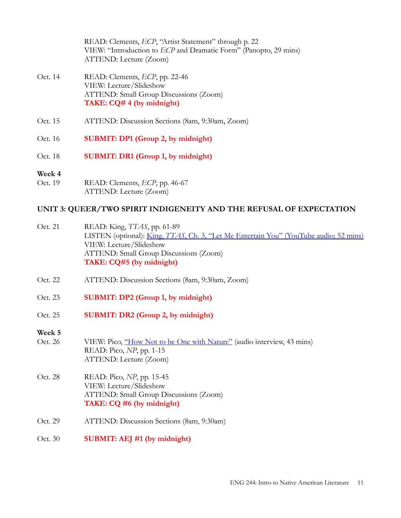READ: Clements, *ECP*, "Artist Statement" through p. 22 VIEW: "Introduction to *ECP* and Dramatic Form" (Panopto, 29 mins) ATTEND: Lecture (Zoom)

- Oct. 14 READ: Clements, *ECP*, pp. 22-46 VIEW: Lecture/Slideshow ATTEND: Small Group Discussions (Zoom) **TAKE: CQ# 4 (by midnight)**
- Oct. 15 ATTEND: Discussion Sections (8am, 9:30am, Zoom)
- Oct. 16 **SUBMIT: DP1 (Group 2, by midnight)**
- Oct. 18 **SUBMIT: DR1 (Group 1, by midnight)**

## **Week 4**

Oct. 19 READ: Clements, *ECP*, pp. 46-67 ATTEND: Lecture (Zoom)

# **UNIT 3: QUEER/TWO SPIRIT INDIGENEITY AND THE REFUSAL OF EXPECTATION**

- Oct. 21 READ: King, *TTAS*, pp. 61-89 LISTEN (optional): King, *TTAS*, Ch. 3, "Let Me Entertain You" [\(YouTube audio; 52 mins\)](https://www.youtube.com/watch?v=CICKluOS9Ic) VIEW: Lecture/Slideshow ATTEND: Small Group Discussions (Zoom) **TAKE: CQ#5 (by midnight)**
- Oct. 22 ATTEND: Discussion Sections (8am, 9:30am, Zoom)
- Oct. 23 **SUBMIT: DP2 (Group 1, by midnight)**
- Oct. 25 **SUBMIT: DR2 (Group 2, by midnight)**

# **Week 5**

- Oct. 26 VIEW: Pico, ["How Not to be One with Nature"](https://www.youtube.com/watch?v=0dFwLWYzTOI) (audio interview, 43 mins) READ: Pico, *NP*, pp. 1-15 ATTEND: Lecture (Zoom)
- Oct. 28 READ: Pico, *NP*, pp. 15-45 VIEW: Lecture/Slideshow ATTEND: Small Group Discussions (Zoom) **TAKE: CQ #6 (by midnight)**
- Oct. 29 ATTEND: Discussion Sections (8am, 9:30am)
- Oct. 30 **SUBMIT: AEJ #1 (by midnight)**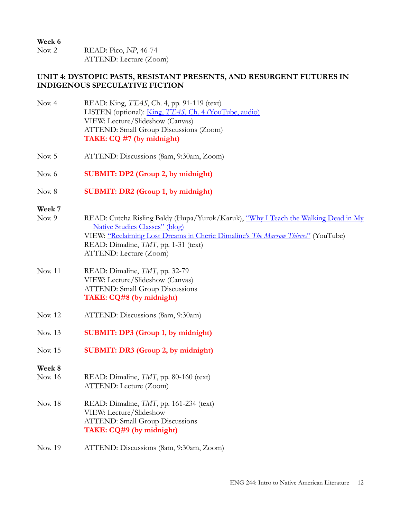**Week 6** Nov. 2 READ: Pico, *NP*, 46-74 ATTEND: Lecture (Zoom)

# **UNIT 4: DYSTOPIC PASTS, RESISTANT PRESENTS, AND RESURGENT FUTURES IN INDIGENOUS SPECULATIVE FICTION**

- Nov. 4 READ: King, *TTAS*, Ch. 4, pp. 91-119 (text) LISTEN (optional): King, *TTAS*[, Ch. 4 \(YouTube, audio\)](https://www.youtube.com/watch?v=mgJEMPf1hSE) VIEW: Lecture/Slideshow (Canvas) ATTEND: Small Group Discussions (Zoom) **TAKE: CQ #7 (by midnight)**
- Nov. 5 ATTEND: Discussions (8am, 9:30am, Zoom)
- Nov. 6 **SUBMIT: DP2 (Group 2, by midnight)**
- Nov. 8 **SUBMIT: DR2 (Group 1, by midnight)**
- **Week 7**

| Nov. 9 | READ: Cutcha Risling Baldy (Hupa/Yurok/Karuk), "Why I Teach the Walking Dead in My |
|--------|------------------------------------------------------------------------------------|
|        | <u>Native Studies Classes" (blog)</u>                                              |
|        | VIEW: "Reclaiming Lost Dreams in Cherie Dimaline's The Marrow Thieves" (YouTube)   |
|        | READ: Dimaline, <i>TMT</i> , pp. 1-31 (text)                                       |
|        | ATTEND: Lecture (Zoom)                                                             |

- Nov. 11 READ: Dimaline, *TMT*, pp. 32-79 VIEW: Lecture/Slideshow (Canvas) ATTEND: Small Group Discussions **TAKE: CQ#8 (by midnight)**
- Nov. 12 ATTEND: Discussions (8am, 9:30am)
- Nov. 13 **SUBMIT: DP3 (Group 1, by midnight)**
- Nov. 15 **SUBMIT: DR3 (Group 2, by midnight)**
- **Week 8**
- Nov. 16 READ: Dimaline, *TMT*, pp. 80-160 (text) ATTEND: Lecture (Zoom)
- Nov. 18 READ: Dimaline, *TMT*, pp. 161-234 (text) VIEW: Lecture/Slideshow ATTEND: Small Group Discussions **TAKE: CQ#9 (by midnight)**
- Nov. 19 ATTEND: Discussions (8am, 9:30am, Zoom)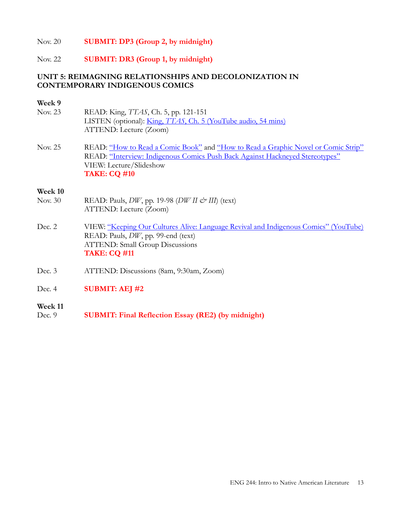## Nov. 20 **SUBMIT: DP3 (Group 2, by midnight)**

#### Nov. 22 **SUBMIT: DR3 (Group 1, by midnight)**

# **UNIT 5: REIMAGNING RELATIONSHIPS AND DECOLONIZATION IN CONTEMPORARY INDIGENOUS COMICS**

# **Week 9**<br>Nov. 23

- READ: King, *TTAS*, Ch. 5, pp. 121-151 LISTEN (optional): King, *TTAS*[, Ch. 5 \(YouTube audio, 54 mins\)](https://www.youtube.com/watch?v=KW2ETIxnYyo) ATTEND: Lecture (Zoom)
- Nov. 25 READ: ["How to Read a Comic Book"](https://www.vox.com/2015/2/25/8101837/ody-c-comic-book-panels) and ["How to Read a Graphic Novel or Comic Strip"](https://theedge.com.hk/how-to-read-a-graphic-novel-or-comic-strip/) READ: ["Interview: Indigenous Comics Push Back Against Hackneyed Stereotypes"](https://www.hcn.org/issues/50.22/tribal-affairs-indigenous-comics-push-back-against-hackneyed-stereotypes) VIEW: Lecture/Slideshow **TAKE: CQ #10**

#### **Week 10**

- Nov. 30 READ: Pauls, *DW*, pp. 19-98 (*DW II & III*) (text) ATTEND: Lecture (Zoom)
- Dec. 2 VIEW: ["Keeping Our Cultures Alive: Language Revival and Indigenous Comics" \(YouTube\)](https://www.youtube.com/watch?v=-5T4JQkBpSE) READ: Pauls, *DW*, pp. 99-end (text) ATTEND: Small Group Discussions **TAKE: CQ #11**
- Dec. 3 ATTEND: Discussions (8am, 9:30am, Zoom)
- Dec. 4 **SUBMIT: AEJ #2**

#### **Week 11**

Dec. 9 **SUBMIT: Final Reflection Essay (RE2) (by midnight)**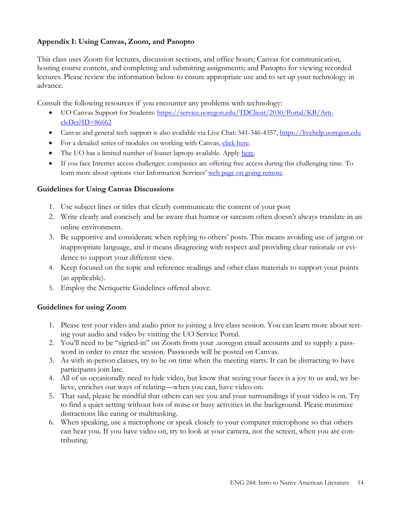# **Appendix I: Using Canvas, Zoom, and Panopto**

This class uses Zoom for lectures, discussion sections, and office hours; Canvas for communication, hosting course content, and completing and submitting assignments; and Panopto for viewing recorded lectures. Please review the information below to ensure appropriate use and to set up your technology in advance.

Consult the following resources if you encounter any problems with technology:

- UO Canvas Support for Students: [https://service.uoregon.edu/TDClient/2030/Portal/KB/Arti](https://service.uoregon.edu/TDClient/2030/Portal/KB/ArticleDet?ID=86662)[cleDet?ID=86662](https://service.uoregon.edu/TDClient/2030/Portal/KB/ArticleDet?ID=86662)
- Canvas and general tech support is also available via Live Chat: 541-346-4357, [https://livehelp.uoregon.edu](https://livehelp.uoregon.edu/)
- For a detailed series of modules on working with Canvas, [click here.](https://canvas.uoregon.edu/courses/161255)
- The UO has a limited number of loaner laptops available. Apply [here.](https://service.uoregon.edu/TDClient/2030/Portal/Requests/ServiceDet?ID=42589)
- If you face Internet access challenges: companies are offering free access during this challenging time. To learn more about options visit Information Services' [web page on going remote.](https://service.uoregon.edu/TDClient/2030/Portal/KB/ArticleDet?ID=101263)

# **Guidelines for Using Canvas Discussions**

- 1. Use subject lines or titles that clearly communicate the content of your post
- 2. Write clearly and concisely and be aware that humor or sarcasm often doesn't always translate in an online environment.
- 3. Be supportive and considerate when replying to others' posts. This means avoiding use of jargon or inappropriate language, and it means disagreeing with respect and providing clear rationale or evidence to support your different view.
- 4. Keep focused on the topic and reference readings and other class materials to support your points (as applicable).
- 5. Employ the Netiquette Guidelines offered above.

# **Guidelines for using Zoom**

- 1. Please test your video and audio prior to joining a live class session. You can learn more about testing your audio and video by visiting the UO Service Portal.
- 2. You'll need to be "signed-in" on Zoom from your .uoregon email accounts and to supply a password in order to enter the session. Passwords will be posted on Canvas.
- 3. As with in-person classes, try to be on time when the meeting starts. It can be distracting to have participants join late.
- 4. All of us occasionally need to hide video, but know that seeing your faces is a joy to us and, we believe, enriches our ways of relating—when you can, have video on.
- 5. That said, please be mindful that others can see you and your surroundings if your video is on. Try to find a quiet setting without lots of noise or busy activities in the background. Please minimize distractions like eating or multitasking.
- 6. When speaking, use a microphone or speak closely to your computer microphone so that others can hear you. If you have video on, try to look at your camera, not the screen, when you are contributing.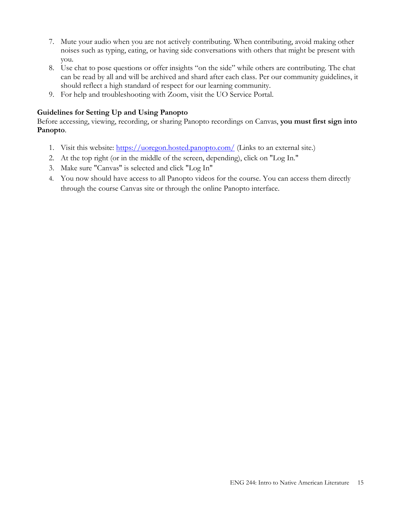- 7. Mute your audio when you are not actively contributing. When contributing, avoid making other noises such as typing, eating, or having side conversations with others that might be present with you.
- 8. Use chat to pose questions or offer insights "on the side" while others are contributing. The chat can be read by all and will be archived and shard after each class. Per our community guidelines, it should reflect a high standard of respect for our learning community.
- 9. For help and troubleshooting with Zoom, visit the UO Service Portal.

# **Guidelines for Setting Up and Using Panopto**

Before accessing, viewing, recording, or sharing Panopto recordings on Canvas, **you must first sign into Panopto**.

- 1. Visit this website:<https://uoregon.hosted.panopto.com/> (Links to an external site.)
- 2. At the top right (or in the middle of the screen, depending), click on "Log In."
- 3. Make sure "Canvas" is selected and click "Log In"
- 4. You now should have access to all Panopto videos for the course. You can access them directly through the course Canvas site or through the online Panopto interface.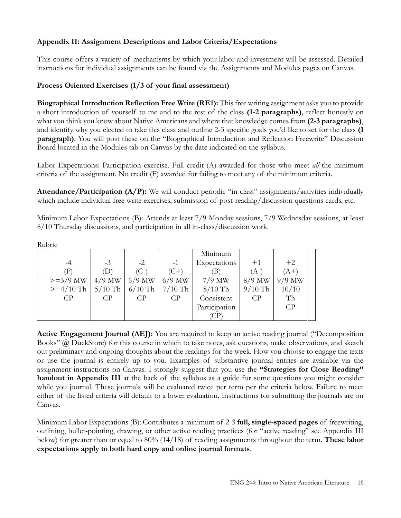# **Appendix II: Assignment Descriptions and Labor Criteria/Expectations**

This course offers a variety of mechanisms by which your labor and investment will be assessed. Detailed instructions for individual assignments can be found via the Assignments and Modules pages on Canvas.

# **Process Oriented Exercises (1/3 of your final assessment)**

**BiographicalIntroduction Reflection Free Write (RE1):** This free writing assignment asks you to provide a short introduction of yourself to me and to the rest of the class **(1-2 paragraphs)**, reflect honestly on what you think you know about Native Americans and where that knowledge comes from **(2-3 paragraphs)**, and identify why you elected to take this class and outline 2-3 specific goals you'd like to set for the class **(1 paragraph)**. You will post these on the "Biographical Introduction and Reflection Freewrite" Discussion Board located in the Modules tab on Canvas by the date indicated on the syllabus.

Labor Expectations: Participation exercise. Full credit (A) awarded for those who meet *all* the minimum criteria of the assignment. No credit (F) awarded for failing to meet any of the minimum criteria.

**Attendance/Participation (A/P):** We will conduct periodic "in-class" assignments/activities individually which include individual free write exercises, submission of post-reading/discussion questions cards, etc.

Minimum Labor Expectations (B): Attends at least 7/9 Monday sessions, 7/9 Wednesday sessions, at least 8/10 Thursday discussions, and participation in all in-class/discussion work.

Rubric

|                              |                |                             |           | Minimum       |           |          |  |
|------------------------------|----------------|-----------------------------|-----------|---------------|-----------|----------|--|
| $-4$                         | $-3$           | $-2$                        | $-1$      | Expectations  | $+1$      | $+2$     |  |
| Ŧ)                           | (D)            | $(C-)$                      | $(C+)$    | ΈB)           | (A-)      | $(A+)$   |  |
| $>=3/9$ MW   4/9 MW   5/9 MW |                |                             | $6/9$ MW  | $7/9$ MW      | $8/9$ MW  | $9/9$ MW |  |
| $>= 4/10$ Th                 |                | $5/10$ Th $6/10$ Th $\vert$ | $7/10$ Th | $8/10$ Th     | $9/10$ Th | 10/10    |  |
| CP                           | C <sub>P</sub> | CP                          | CP        | Consistent    | CP        | Th       |  |
|                              |                |                             |           | Participation |           | CP       |  |
|                              |                |                             |           | (CP           |           |          |  |

**Active Engagement Journal (AEJ):** You are required to keep an active reading journal ("Decomposition Books" @ DuckStore) for this course in which to take notes, ask questions, make observations, and sketch out preliminary and ongoing thoughts about the readings for the week. How you choose to engage the texts or use the journal is entirely up to you. Examples of substantive journal entries are available via the assignment instructions on Canvas. I strongly suggest that you use the **"Strategies for Close Reading" handout in Appendix III** at the back of the syllabus as a guide for some questions you might consider while you journal. These journals will be evaluated twice per term per the criteria below. Failure to meet either of the listed criteria will default to a lower evaluation. Instructions for submitting the journals are on Canvas.

Minimum Labor Expectations (B): Contributes a minimum of 2-3 **full, single-spaced pages** of freewriting, outlining, bullet-pointing, drawing, or other active reading practices (for "active reading" see Appendix III below) for greater than or equal to 80% (14/18) of reading assignments throughout the term. **These labor expectations apply to both hard copy and online journal formats**.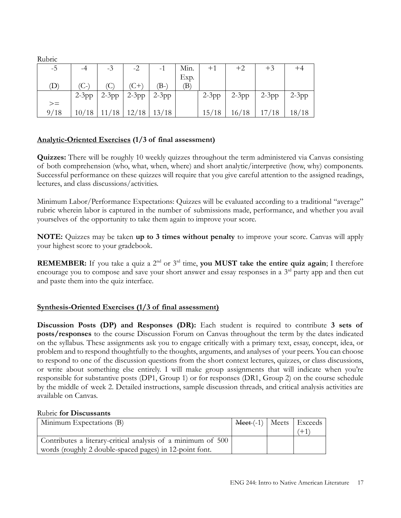Rubric

| -5          | -4    | $-3$ | $-2$                        | $-1$     | Min. | $+1$    | $+2$  | $+3$                |       |
|-------------|-------|------|-----------------------------|----------|------|---------|-------|---------------------|-------|
|             |       |      |                             |          | Exp. |         |       |                     |       |
| $\mathbf D$ |       | (C)  | $(C+)$                      | $(B - )$ | B)   |         |       |                     |       |
|             |       |      | $2-3pp$ 2-3pp 2-3pp 2-3pp   |          |      | $2-3pp$ |       | $2-3pp$ 2-3pp 2-3pp |       |
| $>=$        |       |      |                             |          |      |         |       |                     |       |
| 9/18        | 10/18 |      | $11/18$   $12/18$   $13/18$ |          |      | 15/18   | 16/18 | 17/18               | 18/18 |

# **Analytic-Oriented Exercises (1/3 of final assessment)**

**Quizzes:** There will be roughly 10 weekly quizzes throughout the term administered via Canvas consisting of both comprehension (who, what, when, where) and short analytic/interpretive (how, why) components. Successful performance on these quizzes will require that you give careful attention to the assigned readings, lectures, and class discussions/activities.

Minimum Labor/Performance Expectations: Quizzes will be evaluated according to a traditional "average" rubric wherein labor is captured in the number of submissions made, performance, and whether you avail yourselves of the opportunity to take them again to improve your score.

**NOTE:** Quizzes may be taken **up to 3 times without penalty** to improve your score. Canvas will apply your highest score to your gradebook.

**REMEMBER:** If you take a quiz a 2<sup>nd</sup> or 3<sup>rd</sup> time, **you MUST** take the entire quiz again; I therefore encourage you to compose and save your short answer and essay responses in a 3<sup>rd</sup> party app and then cut and paste them into the quiz interface.

# **Synthesis-Oriented Exercises (1/3 of final assessment)**

**Discussion Posts (DP) and Responses (DR):** Each student is required to contribute **3 sets of posts/responses** to the course Discussion Forum on Canvas throughout the term by the dates indicated on the syllabus. These assignments ask you to engage critically with a primary text, essay, concept, idea, or problem and to respond thoughtfully to the thoughts, arguments, and analyses of your peers. You can choose to respond to one of the discussion questions from the short context lectures, quizzes, or class discussions, or write about something else entirely. I will make group assignments that will indicate when you're responsible for substantive posts (DP1, Group 1) or for responses (DR1, Group 2) on the course schedule by the middle of week 2. Detailed instructions, sample discussion threads, and critical analysis activities are available on Canvas.

#### Rubric **for Discussants**

| Minimum Expectations (B)                                     | $\text{Mee}(-1)$ Meets Exceeds |  |
|--------------------------------------------------------------|--------------------------------|--|
|                                                              |                                |  |
| Contributes a literary-critical analysis of a minimum of 500 |                                |  |
| words (roughly 2 double-spaced pages) in 12-point font.      |                                |  |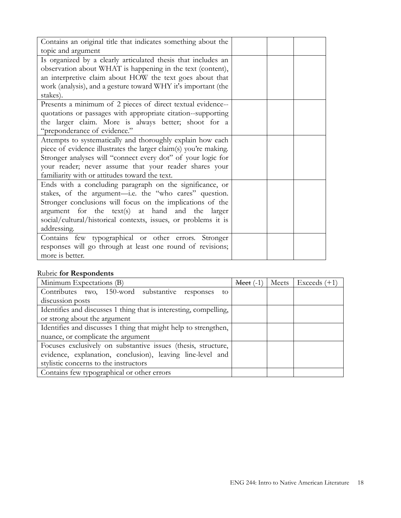| Contains an original title that indicates something about the    |  |  |
|------------------------------------------------------------------|--|--|
| topic and argument                                               |  |  |
| Is organized by a clearly articulated thesis that includes an    |  |  |
| observation about WHAT is happening in the text (content),       |  |  |
| an interpretive claim about HOW the text goes about that         |  |  |
| work (analysis), and a gesture toward WHY it's important (the    |  |  |
| stakes).                                                         |  |  |
| Presents a minimum of 2 pieces of direct textual evidence--      |  |  |
| quotations or passages with appropriate citation--supporting     |  |  |
| the larger claim. More is always better; shoot for a             |  |  |
| "preponderance of evidence."                                     |  |  |
| Attempts to systematically and thoroughly explain how each       |  |  |
| piece of evidence illustrates the larger claim(s) you're making. |  |  |
| Stronger analyses will "connect every dot" of your logic for     |  |  |
| your reader; never assume that your reader shares your           |  |  |
| familiarity with or attitudes toward the text.                   |  |  |
| Ends with a concluding paragraph on the significance, or         |  |  |
| stakes, of the argument-i.e. the "who cares" question.           |  |  |
| Stronger conclusions will focus on the implications of the       |  |  |
| argument for the text(s) at hand and the larger                  |  |  |
| social/cultural/historical contexts, issues, or problems it is   |  |  |
| addressing.                                                      |  |  |
| Contains few typographical or other errors. Stronger             |  |  |
| responses will go through at least one round of revisions;       |  |  |
| more is better.                                                  |  |  |

# Rubric **for Respondents**

| Minimum Expectations (B)                                          | $\text{Mect } (-1)$ | Meets   Exceeds $(+1)$ |
|-------------------------------------------------------------------|---------------------|------------------------|
| Contributes two, 150-word substantive responses to                |                     |                        |
| discussion posts                                                  |                     |                        |
| Identifies and discusses 1 thing that is interesting, compelling, |                     |                        |
| or strong about the argument                                      |                     |                        |
| Identifies and discusses 1 thing that might help to strengthen,   |                     |                        |
| nuance, or complicate the argument                                |                     |                        |
| Focuses exclusively on substantive issues (thesis, structure,     |                     |                        |
| evidence, explanation, conclusion), leaving line-level and        |                     |                        |
| stylistic concerns to the instructors                             |                     |                        |
| Contains few typographical or other errors                        |                     |                        |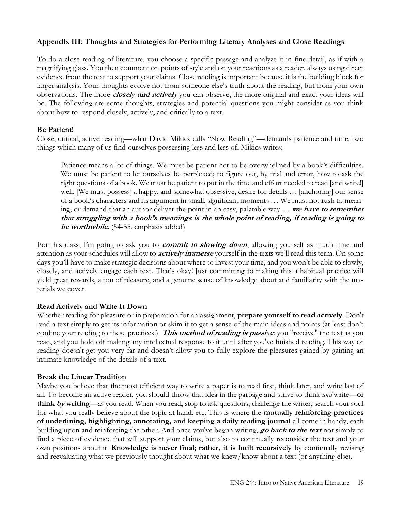# **Appendix III: Thoughts and Strategies for Performing Literary Analyses and Close Readings**

To do a close reading of literature, you choose a specific passage and analyze it in fine detail, as if with a magnifying glass. You then comment on points of style and on your reactions as a reader, always using direct evidence from the text to support your claims. Close reading is important because it is the building block for larger analysis. Your thoughts evolve not from someone else's truth about the reading, but from your own observations. The more **closely and actively** you can observe, the more original and exact your ideas will be. The following are some thoughts, strategies and potential questions you might consider as you think about how to respond closely, actively, and critically to a text.

# **Be Patient!**

Close, critical, active reading—what David Mikics calls "Slow Reading"—demands patience and time, two things which many of us find ourselves possessing less and less of. Mikics writes:

Patience means a lot of things. We must be patient not to be overwhelmed by a book's difficulties. We must be patient to let ourselves be perplexed; to figure out, by trial and error, how to ask the right questions of a book. We must be patient to put in the time and effort needed to read [and write!] well. [We must possess] a happy, and somewhat obsessive, desire for details … [anchoring] our sense of a book's characters and its argument in small, significant moments … We must not rush to meaning, or demand that an author deliver the point in an easy, palatable way … **we have to remember that struggling with a book's meanings is the whole point of reading, if reading is going to be worthwhile**. (54-55, emphasis added)

For this class, I'm going to ask you to **commit to slowing down**, allowing yourself as much time and attention as your schedules will allow to **actively immerse** yourself in the texts we'll read this term. On some days you'll have to make strategic decisions about where to invest your time, and you won't be able to slowly, closely, and actively engage each text. That's okay! Just committing to making this a habitual practice will yield great rewards, a ton of pleasure, and a genuine sense of knowledge about and familiarity with the materials we cover.

# **Read Actively and Write It Down**

Whether reading for pleasure or in preparation for an assignment, **prepare yourself to read actively**. Don't read a text simply to get its information or skim it to get a sense of the main ideas and points (at least don't confine your reading to these practices!). **This method of reading is passive**: you "receive" the text as you read, and you hold off making any intellectual response to it until after you've finished reading. This way of reading doesn't get you very far and doesn't allow you to fully explore the pleasures gained by gaining an intimate knowledge of the details of a text.

# **Break the Linear Tradition**

Maybe you believe that the most efficient way to write a paper is to read first, think later, and write last of all. To become an active reader, you should throw that idea in the garbage and strive to think *and* write—**or think by writing**—as you read. When you read, stop to ask questions, challenge the writer, search your soul for what you really believe about the topic at hand, etc. This is where the **mutually reinforcing practices of underlining, highlighting, annotating, and keeping a daily reading journal** all come in handy, each building upon and reinforcing the other. And once you've begun writing, **go back to the text** not simply to find a piece of evidence that will support your claims, but also to continually reconsider the text and your own positions about it! **Knowledge is never final; rather, it is built recursively** by continually revising and reevaluating what we previously thought about what we knew/know about a text (or anything else).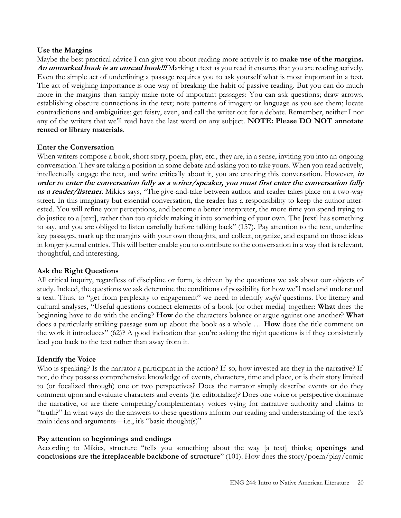## **Use the Margins**

Maybe the best practical advice I can give you about reading more actively is to **make use of the margins. An unmarked book is an unread book!!!** Marking a text as you read it ensures that you are reading actively. Even the simple act of underlining a passage requires you to ask yourself what is most important in a text. The act of weighing importance is one way of breaking the habit of passive reading. But you can do much more in the margins than simply make note of important passages: You can ask questions; draw arrows, establishing obscure connections in the text; note patterns of imagery or language as you see them; locate contradictions and ambiguities; get feisty, even, and call the writer out for a debate. Remember, neither I nor any of the writers that we'll read have the last word on any subject. **NOTE: Please DO NOT annotate rented or library materials**.

## **Enter the Conversation**

When writers compose a book, short story, poem, play, etc., they are, in a sense, inviting you into an ongoing conversation. They are taking a position in some debate and asking you to take yours. When you read actively, intellectually engage the text, and write critically about it, you are entering this conversation. However, **in order to enter the conversation fully as a writer/speaker, you must first enter the conversation fully as a reader/listener**. Mikics says, "The give-and-take between author and reader takes place on a two-way street. In this imaginary but essential conversation, the reader has a responsibility to keep the author interested. You will refine your perceptions, and become a better interpreter, the more time you spend trying to do justice to a [text], rather than too quickly making it into something of your own. The [text] has something to say, and you are obliged to listen carefully before talking back" (157). Pay attention to the text, underline key passages, mark up the margins with your own thoughts, and collect, organize, and expand on those ideas in longer journal entries. This will better enable you to contribute to the conversation in a way that is relevant, thoughtful, and interesting.

# **Ask the Right Questions**

All critical inquiry, regardless of discipline or form, is driven by the questions we ask about our objects of study. Indeed, the questions we ask determine the conditions of possibility for how we'll read and understand a text. Thus, to "get from perplexity to engagement" we need to identify *useful* questions. For literary and cultural analyses, "Useful questions connect elements of a book [or other media] together: **What** does the beginning have to do with the ending? **How** do the characters balance or argue against one another? **What** does a particularly striking passage sum up about the book as a whole … **How** does the title comment on the work it introduces" (62)? A good indication that you're asking the right questions is if they consistently lead you back to the text rather than away from it.

# **Identify the Voice**

Who is speaking? Is the narrator a participant in the action? If so, how invested are they in the narrative? If not, do they possess comprehensive knowledge of events, characters, time and place, or is their story limited to (or focalized through) one or two perspectives? Does the narrator simply describe events or do they comment upon and evaluate characters and events (i.e. editorialize)? Does one voice or perspective dominate the narrative, or are there competing/complementary voices vying for narrative authority and claims to "truth?" In what ways do the answers to these questions inform our reading and understanding of the text's main ideas and arguments—i.e., it's "basic thought(s)"

# **Pay attention to beginnings and endings**

According to Mikics, structure "tells you something about the way [a text] thinks; **openings and conclusions are the irreplaceable backbone of structure**" (101). How does the story/poem/play/comic